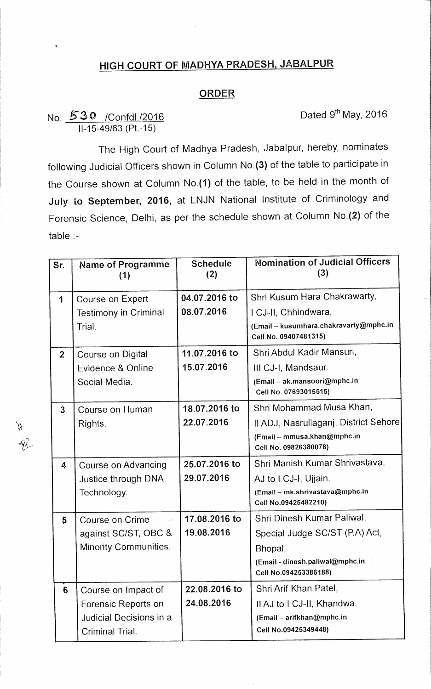## **HIGH COURT OF MADHYA PRADESH, JABALPUR**

## **ORDER**

## No. 530 / Confdl./2016 Case Conformation Dated 9th May, 2016 11-15-49/63 (Pt.-15)

The High Court of Madhya Pradesh, Jabalpur, hereby, nominates following Judicial Officers shown in Column No.(3) of the table to participate in the Course shown at Column No.(1) of the table, to be held in the month of **July to September, 2016,** at LNJN National Institute of Criminology and Forensic Science, Delhi, as per the schedule shown at Column No.(2) of the table :-

| Sr.             | Name of Programme<br>(1)     | <b>Schedule</b><br>(2) | <b>Nomination of Judicial Officers</b><br>(3)                   |
|-----------------|------------------------------|------------------------|-----------------------------------------------------------------|
| 1               | Course on Expert             | 04.07.2016 to          | Shri Kusum Hara Chakrawarty,                                    |
|                 | <b>Testimony in Criminal</b> | 08.07.2016             | I CJ-II, Chhindwara.                                            |
|                 | Trial.                       |                        | (Email - kusumhara.chakravarty@mphc.in<br>Cell No. 09407481315) |
| $\overline{2}$  | Course on Digital            | 11.07.2016 to          | Shri Abdul Kadir Mansuri,                                       |
|                 | Evidence & Online            | 15.07.2016             | III CJ-I, Mandsaur.                                             |
|                 | Social Media.                |                        | (Email - ak.mansoori@mphc.in<br>Cell No. 07693015515)           |
| $\overline{3}$  | Course on Human              | 18.07.2016 to          | Shri Mohammad Musa Khan,                                        |
|                 | Rights.                      | 22.07.2016             | II ADJ, Nasrullaganj, District Sehore                           |
|                 |                              |                        | (Email - mmusa.khan@mphc.in<br>Cell No. 09826380078)            |
| 4               | Course on Advancing          | 25.07.2016 to          | Shri Manish Kumar Shrivastava,                                  |
|                 | Justice through DNA          | 29.07.2016             | AJ to I CJ-I, Ujjain.                                           |
|                 | Technology.                  |                        | (Email - mk.shrivastava@mphc.in<br>Cell No.09425482210)         |
| 5               | Course on Crime              | 17.08.2016 to          | Shri Dinesh Kumar Paliwal,                                      |
|                 | against SC/ST, OBC &         | 19.08.2016             | Special Judge SC/ST (P.A) Act,                                  |
|                 | Minority Communities.        |                        | Bhopal.                                                         |
|                 |                              |                        | (Email - dinesh.paliwal@mphc.in<br>Cell No.094253386188)        |
| $6\phantom{1}6$ | Course on Impact of          | 22.08.2016 to          | Shri Arif Khan Patel,                                           |
|                 | Forensic Reports on          | 24.08.2016             | Il AJ to I CJ-II, Khandwa.                                      |
|                 | Judicial Decisions in a      |                        | (Email - arifkhan@mphc.in                                       |
|                 | Criminal Trial.              |                        | Cell No.09425349448)                                            |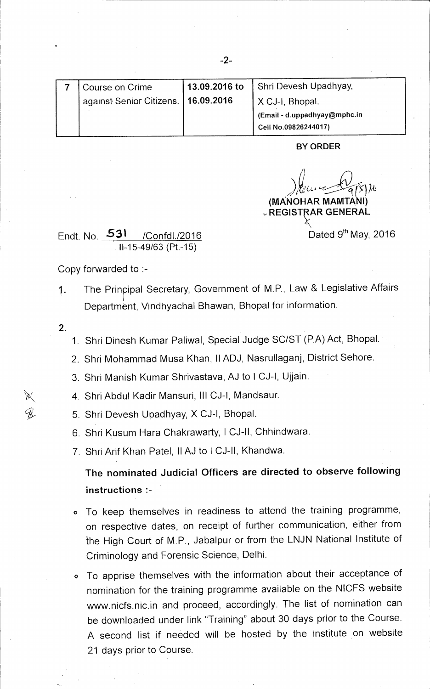| Course on Crime                       | 13.09.2016 to | Shri Devesh Upadhyay,        |
|---------------------------------------|---------------|------------------------------|
| against Senior Citizens.   16.09.2016 |               | X CJ-I, Bhopal.              |
|                                       |               | (Email - d.uppadhyay@mphc.in |
|                                       |               | Cell No.09826244017)         |

**BY ORDER** 

**(MANOHAR MAMTANI)** 

Dated 9<sup>th</sup> May, 2016

**REGIST1RAR GENERAL**   $\chi$ 

Endt. No. 531 / Confdl./2016 11-15-49/63 (Pt.-15)

Copy forwarded to :-

1. The Principal Secretary, Government of M.P., Law & Legislative Affairs Department, Vindhyachal Bhawan, Bhopal for information.

**2.** 

Ж

W.

- 1. Shri Dinesh Kumar Paliwal, Special Judge SC/ST (P.A) Act, Bhopal.
- 2. Shri Mohammad Musa Khan, 11ADJ, Nasrullaganj, District Sehore.
- 3. Shri Manish Kumar Shrivastava, AJ to **I** CJ-I, Ujjain.
- 4. Shri Abdul Kadir Mansuri, III CJ-1, Mandsaur.
- 5. Shri Devesh Upadhyay, X CJ-1, Bhopal.
- 6. Shri Kusum Nara Chakrawarty, 1 CJ-II, Chhindwara.
- 7. Shri Arif Khan Patel, 11AJ to I CJ-II, Khandwa.

**The nominated Judicial Officers are directed to observe following instructions :-** 

- o To keep themselves in readiness to attend the training programme, on respective dates, on receipt of further communication, either from the High Court of M.P., Jabalpur or from the LNJN National Institute of Criminology and Forensic Science, Delhi.
- o To apprise themselves with the information about their acceptance of nomination for the training programme available on the N1CFS website www.nicfs.nic.in and proceed, accordingly. The list of nomination can be downloaded under link "Training" about 30 days prior to the Course. A second list if needed will be hosted by the institute on website 21 days prior to Course.